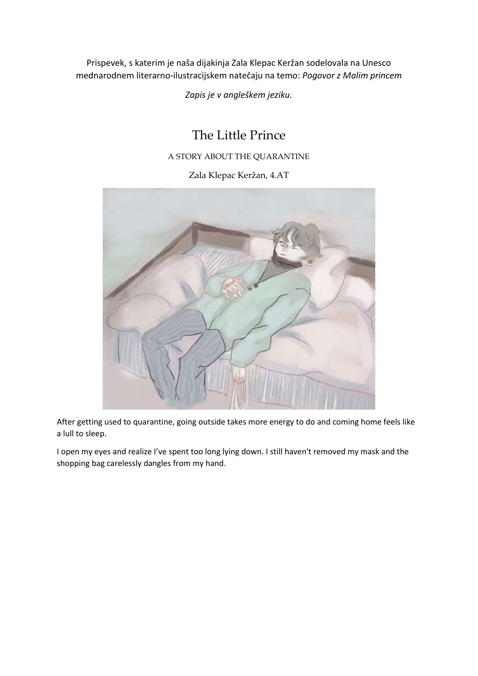Prispevek, s katerim je naša dijakinja Zala Klepac Keržan sodelovala na Unesco mednarodnem literarno-ilustracijskem natečaju na temo: *Pogovor z Malim princem*

*Zapis je v angleškem jeziku.*

## The Little Prince

## A STORY ABOUT THE QUARANTINE

Zala Klepac Keržan, 4.AT



After getting used to quarantine, going outside takes more energy to do and coming home feels like a lull to sleep.

I open my eyes and realize I've spent too long lying down. I still haven't removed my mask and the shopping bag carelessly dangles from my hand.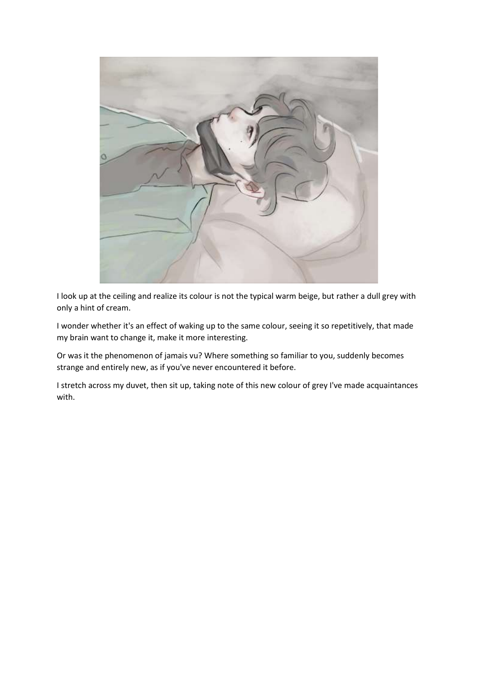

I look up at the ceiling and realize its colour is not the typical warm beige, but rather a dull grey with only a hint of cream.

I wonder whether it's an effect of waking up to the same colour, seeing it so repetitively, that made my brain want to change it, make it more interesting.

Or was it the phenomenon of jamais vu? Where something so familiar to you, suddenly becomes strange and entirely new, as if you've never encountered it before.

I stretch across my duvet, then sit up, taking note of this new colour of grey I've made acquaintances with.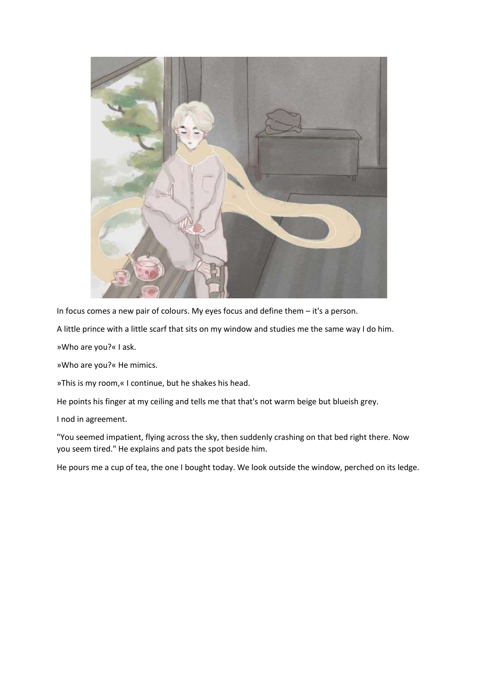

In focus comes a new pair of colours. My eyes focus and define them – it's a person.

A little prince with a little scarf that sits on my window and studies me the same way I do him.

»Who are you?« I ask.

»Who are you?« He mimics.

»This is my room,« I continue, but he shakes his head.

He points his finger at my ceiling and tells me that that's not warm beige but blueish grey.

I nod in agreement.

"You seemed impatient, flying across the sky, then suddenly crashing on that bed right there. Now you seem tired." He explains and pats the spot beside him.

He pours me a cup of tea, the one I bought today. We look outside the window, perched on its ledge.